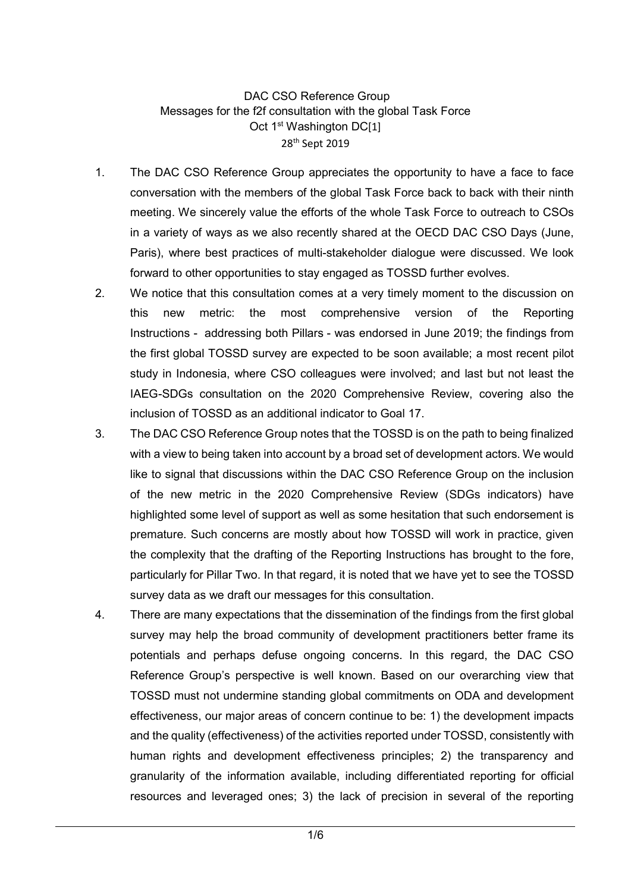DAC CSO Reference Group Messages for the f2f consultation with the global Task Force Oct 1<sup>st</sup> Washington DC[1] 28<sup>th</sup> Sept 2019

- 1. The DAC CSO Reference Group appreciates the opportunity to have a face to face conversation with the members of the global Task Force back to back with their ninth meeting. We sincerely value the efforts of the whole Task Force to outreach to CSOs in a variety of ways as we also recently shared at the OECD DAC CSO Days (June, Paris), where best practices of multi-stakeholder dialogue were discussed. We look forward to other opportunities to stay engaged as TOSSD further evolves.
- 2. We notice that this consultation comes at a very timely moment to the discussion on this new metric: the most comprehensive version of the Reporting Instructions - addressing both Pillars - was endorsed in June 2019; the findings from the first global TOSSD survey are expected to be soon available; a most recent pilot study in Indonesia, where CSO colleagues were involved; and last but not least the IAEG-SDGs consultation on the 2020 Comprehensive Review, covering also the inclusion of TOSSD as an additional indicator to Goal 17.
- 3. The DAC CSO Reference Group notes that the TOSSD is on the path to being finalized with a view to being taken into account by a broad set of development actors. We would like to signal that discussions within the DAC CSO Reference Group on the inclusion of the new metric in the 2020 Comprehensive Review (SDGs indicators) have highlighted some level of support as well as some hesitation that such endorsement is premature. Such concerns are mostly about how TOSSD will work in practice, given the complexity that the drafting of the Reporting Instructions has brought to the fore, particularly for Pillar Two. In that regard, it is noted that we have yet to see the TOSSD survey data as we draft our messages for this consultation.
- 4. There are many expectations that the dissemination of the findings from the first global survey may help the broad community of development practitioners better frame its potentials and perhaps defuse ongoing concerns. In this regard, the DAC CSO Reference Group's perspective is well known. Based on our overarching view that TOSSD must not undermine standing global commitments on ODA and development effectiveness, our major areas of concern continue to be: 1) the development impacts and the quality (effectiveness) of the activities reported under TOSSD, consistently with human rights and development effectiveness principles; 2) the transparency and granularity of the information available, including differentiated reporting for official resources and leveraged ones; 3) the lack of precision in several of the reporting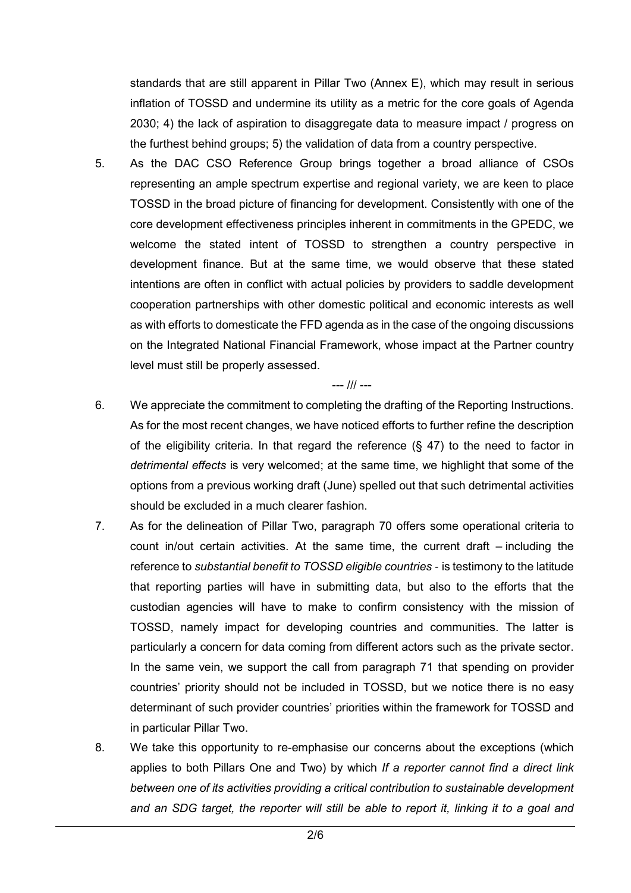standards that are still apparent in Pillar Two (Annex E), which may result in serious inflation of TOSSD and undermine its utility as a metric for the core goals of Agenda 2030; 4) the lack of aspiration to disaggregate data to measure impact / progress on the furthest behind groups; 5) the validation of data from a country perspective.

5. As the DAC CSO Reference Group brings together a broad alliance of CSOs representing an ample spectrum expertise and regional variety, we are keen to place TOSSD in the broad picture of financing for development. Consistently with one of the core development effectiveness principles inherent in commitments in the GPEDC, we welcome the stated intent of TOSSD to strengthen a country perspective in development finance. But at the same time, we would observe that these stated intentions are often in conflict with actual policies by providers to saddle development cooperation partnerships with other domestic political and economic interests as well as with efforts to domesticate the FFD agenda as in the case of the ongoing discussions on the Integrated National Financial Framework, whose impact at the Partner country level must still be properly assessed.

## --- /// ---

- 6. We appreciate the commitment to completing the drafting of the Reporting Instructions. As for the most recent changes, we have noticed efforts to further refine the description of the eligibility criteria. In that regard the reference  $(§\;47)$  to the need to factor in detrimental effects is very welcomed; at the same time, we highlight that some of the options from a previous working draft (June) spelled out that such detrimental activities should be excluded in a much clearer fashion.
- 7. As for the delineation of Pillar Two, paragraph 70 offers some operational criteria to count in/out certain activities. At the same time, the current draft – including the reference to substantial benefit to TOSSD eligible countries - is testimony to the latitude that reporting parties will have in submitting data, but also to the efforts that the custodian agencies will have to make to confirm consistency with the mission of TOSSD, namely impact for developing countries and communities. The latter is particularly a concern for data coming from different actors such as the private sector. In the same vein, we support the call from paragraph 71 that spending on provider countries' priority should not be included in TOSSD, but we notice there is no easy determinant of such provider countries' priorities within the framework for TOSSD and in particular Pillar Two.
- 8. We take this opportunity to re-emphasise our concerns about the exceptions (which applies to both Pillars One and Two) by which If a reporter cannot find a direct link between one of its activities providing a critical contribution to sustainable development and an SDG target, the reporter will still be able to report it, linking it to a goal and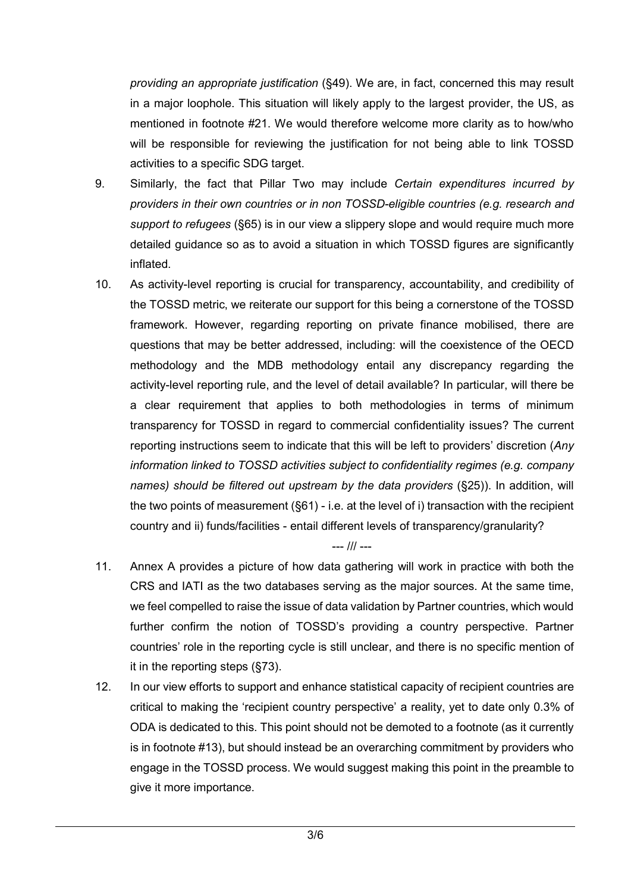providing an appropriate justification (§49). We are, in fact, concerned this may result in a major loophole. This situation will likely apply to the largest provider, the US, as mentioned in footnote #21. We would therefore welcome more clarity as to how/who will be responsible for reviewing the justification for not being able to link TOSSD activities to a specific SDG target.

- 9. Similarly, the fact that Pillar Two may include Certain expenditures incurred by providers in their own countries or in non TOSSD-eligible countries (e.g. research and support to refugees (§65) is in our view a slippery slope and would require much more detailed guidance so as to avoid a situation in which TOSSD figures are significantly inflated.
- 10. As activity-level reporting is crucial for transparency, accountability, and credibility of the TOSSD metric, we reiterate our support for this being a cornerstone of the TOSSD framework. However, regarding reporting on private finance mobilised, there are questions that may be better addressed, including: will the coexistence of the OECD methodology and the MDB methodology entail any discrepancy regarding the activity-level reporting rule, and the level of detail available? In particular, will there be a clear requirement that applies to both methodologies in terms of minimum transparency for TOSSD in regard to commercial confidentiality issues? The current reporting instructions seem to indicate that this will be left to providers' discretion (Any information linked to TOSSD activities subject to confidentiality regimes (e.g. company names) should be filtered out upstream by the data providers (§25)). In addition, will the two points of measurement (§61) - i.e. at the level of i) transaction with the recipient country and ii) funds/facilities - entail different levels of transparency/granularity?

--- /// ---

- 11. Annex A provides a picture of how data gathering will work in practice with both the CRS and IATI as the two databases serving as the major sources. At the same time, we feel compelled to raise the issue of data validation by Partner countries, which would further confirm the notion of TOSSD's providing a country perspective. Partner countries' role in the reporting cycle is still unclear, and there is no specific mention of it in the reporting steps (§73).
- 12. In our view efforts to support and enhance statistical capacity of recipient countries are critical to making the 'recipient country perspective' a reality, yet to date only 0.3% of ODA is dedicated to this. This point should not be demoted to a footnote (as it currently is in footnote #13), but should instead be an overarching commitment by providers who engage in the TOSSD process. We would suggest making this point in the preamble to give it more importance.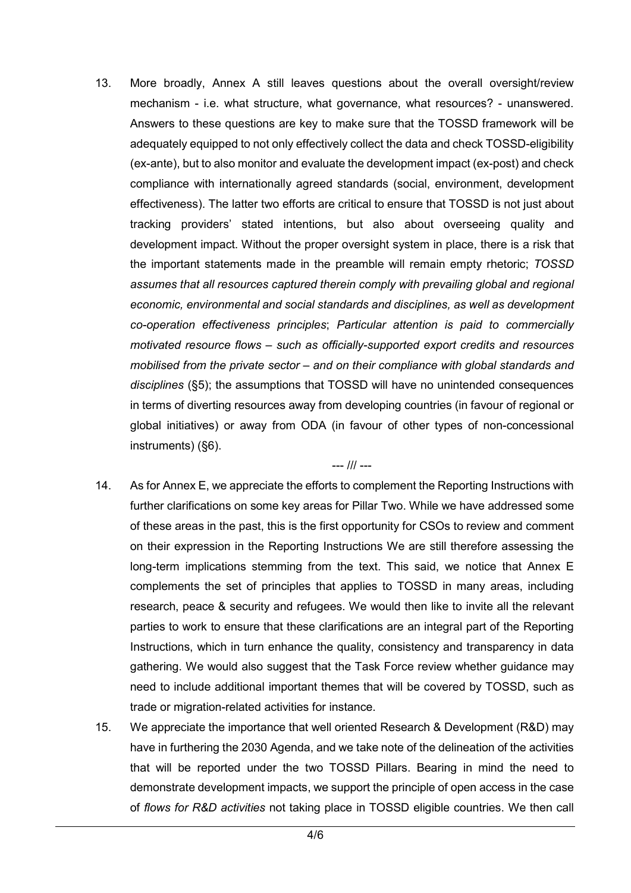13. More broadly, Annex A still leaves questions about the overall oversight/review mechanism - i.e. what structure, what governance, what resources? - unanswered. Answers to these questions are key to make sure that the TOSSD framework will be adequately equipped to not only effectively collect the data and check TOSSD-eligibility (ex-ante), but to also monitor and evaluate the development impact (ex-post) and check compliance with internationally agreed standards (social, environment, development effectiveness). The latter two efforts are critical to ensure that TOSSD is not just about tracking providers' stated intentions, but also about overseeing quality and development impact. Without the proper oversight system in place, there is a risk that the important statements made in the preamble will remain empty rhetoric; TOSSD assumes that all resources captured therein comply with prevailing global and regional economic, environmental and social standards and disciplines, as well as development co-operation effectiveness principles; Particular attention is paid to commercially motivated resource flows – such as officially-supported export credits and resources mobilised from the private sector – and on their compliance with global standards and disciplines (§5); the assumptions that TOSSD will have no unintended consequences in terms of diverting resources away from developing countries (in favour of regional or global initiatives) or away from ODA (in favour of other types of non-concessional instruments) (§6).

--- /// ---

- 14. As for Annex E, we appreciate the efforts to complement the Reporting Instructions with further clarifications on some key areas for Pillar Two. While we have addressed some of these areas in the past, this is the first opportunity for CSOs to review and comment on their expression in the Reporting Instructions We are still therefore assessing the long-term implications stemming from the text. This said, we notice that Annex E complements the set of principles that applies to TOSSD in many areas, including research, peace & security and refugees. We would then like to invite all the relevant parties to work to ensure that these clarifications are an integral part of the Reporting Instructions, which in turn enhance the quality, consistency and transparency in data gathering. We would also suggest that the Task Force review whether guidance may need to include additional important themes that will be covered by TOSSD, such as trade or migration-related activities for instance.
- 15. We appreciate the importance that well oriented Research & Development (R&D) may have in furthering the 2030 Agenda, and we take note of the delineation of the activities that will be reported under the two TOSSD Pillars. Bearing in mind the need to demonstrate development impacts, we support the principle of open access in the case of flows for R&D activities not taking place in TOSSD eligible countries. We then call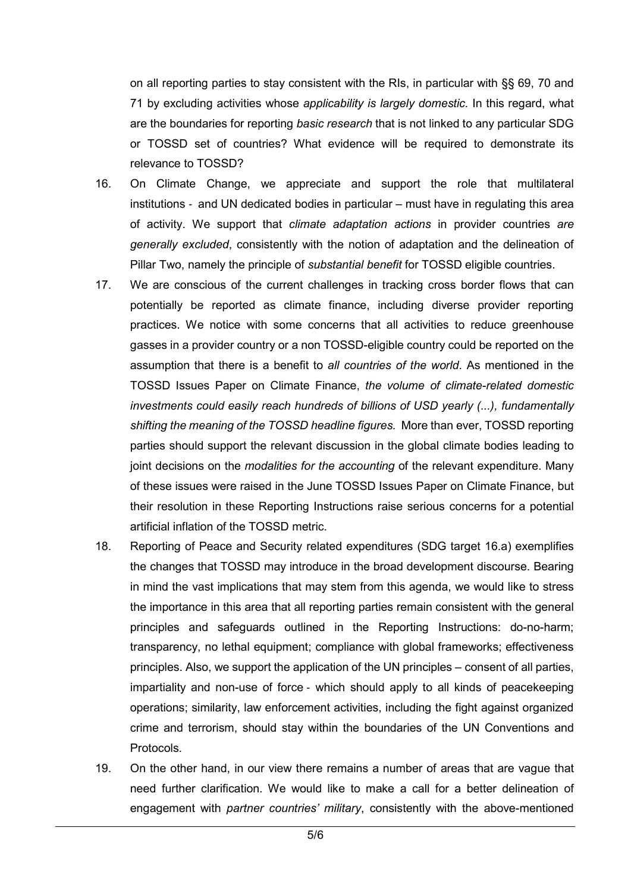on all reporting parties to stay consistent with the RIs, in particular with §§ 69, 70 and 71 by excluding activities whose applicability is largely domestic. In this regard, what are the boundaries for reporting basic research that is not linked to any particular SDG or TOSSD set of countries? What evidence will be required to demonstrate its relevance to TOSSD?

- 16. On Climate Change, we appreciate and support the role that multilateral institutions - and UN dedicated bodies in particular – must have in regulating this area of activity. We support that *climate adaptation actions* in provider countries are generally excluded, consistently with the notion of adaptation and the delineation of Pillar Two, namely the principle of substantial benefit for TOSSD eligible countries.
- 17. We are conscious of the current challenges in tracking cross border flows that can potentially be reported as climate finance, including diverse provider reporting practices. We notice with some concerns that all activities to reduce greenhouse gasses in a provider country or a non TOSSD-eligible country could be reported on the assumption that there is a benefit to all countries of the world. As mentioned in the TOSSD Issues Paper on Climate Finance, the volume of climate-related domestic investments could easily reach hundreds of billions of USD yearly (...), fundamentally shifting the meaning of the TOSSD headline figures. More than ever, TOSSD reporting parties should support the relevant discussion in the global climate bodies leading to joint decisions on the modalities for the accounting of the relevant expenditure. Many of these issues were raised in the June TOSSD Issues Paper on Climate Finance, but their resolution in these Reporting Instructions raise serious concerns for a potential artificial inflation of the TOSSD metric.
- 18. Reporting of Peace and Security related expenditures (SDG target 16.a) exemplifies the changes that TOSSD may introduce in the broad development discourse. Bearing in mind the vast implications that may stem from this agenda, we would like to stress the importance in this area that all reporting parties remain consistent with the general principles and safeguards outlined in the Reporting Instructions: do-no-harm; transparency, no lethal equipment; compliance with global frameworks; effectiveness principles. Also, we support the application of the UN principles – consent of all parties, impartiality and non-use of force - which should apply to all kinds of peacekeeping operations; similarity, law enforcement activities, including the fight against organized crime and terrorism, should stay within the boundaries of the UN Conventions and Protocols.
- 19. On the other hand, in our view there remains a number of areas that are vague that need further clarification. We would like to make a call for a better delineation of engagement with partner countries' military, consistently with the above-mentioned